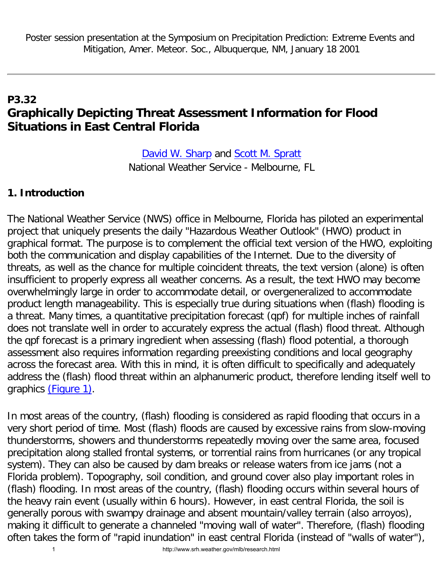# **P3.32 Graphically Depicting Threat Assessment Information for Flood Situations in East Central Florida**

[David W. Sharp](mailto:david.sharp@noaa.gov) and Scott M. Spratt National Weather Service - Melbourne, FL

#### **1. Introduction**

The National Weather Service (NWS) office in Melbourne, Florida has piloted an experimental project that uniquely presents the daily "Hazardous Weather Outlook" (HWO) product in graphical format. The purpose is to complement the official text version of the HWO, exploiting both the communication and display capabilities of the Internet. Due to the diversity of threats, as well as the chance for multiple coincident threats, the text version (alone) is often insufficient to properly express all weather concerns. As a result, the text HWO may become overwhelmingly large in order to accommodate detail, or overgeneralized to accommodate product length manageability. This is especially true during situations when (flash) flooding is a threat. Many times, a quantitative precipitation forecast (qpf) for multiple inches of rainfall does not translate well in order to accurately express the actual (flash) flood threat. Although the qpf forecast is a primary ingredient when assessing (flash) flood potential, a thorough assessment also requires information regarding preexisting conditions and local geography across the forecast area. With this in mind, it is often difficult to specifically and adequately address the (flash) flood threat within an alphanumeric product, therefore lending itself well to graphics [\(Figure 1\).](#page-3-0)

In most areas of the country, (flash) flooding is considered as rapid flooding that occurs in a very short period of time. Most (flash) floods are caused by excessive rains from slow-moving thunderstorms, showers and thunderstorms repeatedly moving over the same area, focused precipitation along stalled frontal systems, or torrential rains from hurricanes (or any tropical system). They can also be caused by dam breaks or release waters from ice jams (not a Florida problem). Topography, soil condition, and ground cover also play important roles in (flash) flooding. In most areas of the country, (flash) flooding occurs within several hours of the heavy rain event (usually within 6 hours). However, in east central Florida, the soil is generally porous with swampy drainage and absent mountain/valley terrain (also arroyos), making it difficult to generate a channeled "moving wall of water". Therefore, (flash) flooding often takes the form of "rapid inundation" in east central Florida (instead of "walls of water"),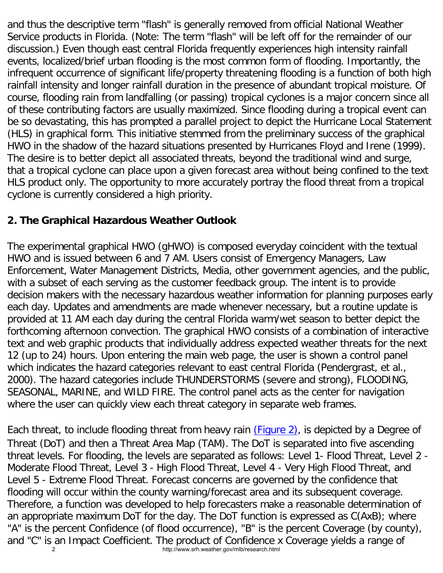and thus the descriptive term "flash" is generally removed from official National Weather Service products in Florida. (Note: The term "flash" will be left off for the remainder of our discussion.) Even though east central Florida frequently experiences high intensity rainfall events, localized/brief urban flooding is the most common form of flooding. Importantly, the infrequent occurrence of significant life/property threatening flooding is a function of both high rainfall intensity and longer rainfall duration in the presence of abundant tropical moisture. Of course, flooding rain from landfalling (or passing) tropical cyclones is a major concern since all of these contributing factors are usually maximized. Since flooding during a tropical event can be so devastating, this has prompted a parallel project to depict the Hurricane Local Statement (HLS) in graphical form. This initiative stemmed from the preliminary success of the graphical HWO in the shadow of the hazard situations presented by Hurricanes Floyd and Irene (1999). The desire is to better depict all associated threats, beyond the traditional wind and surge, that a tropical cyclone can place upon a given forecast area without being confined to the text HLS product only. The opportunity to more accurately portray the flood threat from a tropical cyclone is currently considered a high priority.

### **2. The Graphical Hazardous Weather Outlook**

The experimental graphical HWO (gHWO) is composed everyday coincident with the textual HWO and is issued between 6 and 7 AM. Users consist of Emergency Managers, Law Enforcement, Water Management Districts, Media, other government agencies, and the public, with a subset of each serving as the customer feedback group. The intent is to provide decision makers with the necessary hazardous weather information for planning purposes early each day. Updates and amendments are made whenever necessary, but a routine update is provided at 11 AM each day during the central Florida warm/wet season to better depict the forthcoming afternoon convection. The graphical HWO consists of a combination of interactive text and web graphic products that individually address expected weather threats for the next 12 (up to 24) hours. Upon entering the main web page, the user is shown a control panel which indicates the hazard categories relevant to east central Florida (Pendergrast, et al., 2000). The hazard categories include THUNDERSTORMS (severe and strong), FLOODING, SEASONAL, MARINE, and WILD FIRE. The control panel acts as the center for navigation where the user can quickly view each threat category in separate web frames.

Each threat, to include flooding threat from heavy rain [\(Figure 2\)](#page-4-0), is depicted by a Degree of Threat (DoT) and then a Threat Area Map (TAM). The DoT is separated into five ascending threat levels. For flooding, the levels are separated as follows: Level 1- Flood Threat, Level 2 - Moderate Flood Threat, Level 3 - High Flood Threat, Level 4 - Very High Flood Threat, and Level 5 - Extreme Flood Threat. Forecast concerns are governed by the confidence that flooding will occur within the county warning/forecast area and its subsequent coverage. Therefore, a function was developed to help forecasters make a reasonable determination of an appropriate maximum DoT for the day. The DoT function is expressed as C(AxB); where "A" is the percent Confidence (of flood occurrence), "B" is the percent Coverage (by county), and "C" is an Impact Coefficient. The product of Confidence x Coverage yields a range of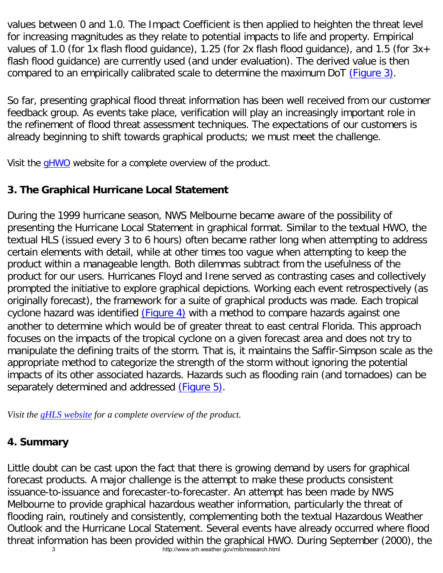values between 0 and 1.0. The Impact Coefficient is then applied to heighten the threat level for increasing magnitudes as they relate to potential impacts to life and property. Empirical values of 1.0 (for 1x flash flood guidance), 1.25 (for 2x flash flood guidance), and 1.5 (for 3x+ flash flood guidance) are currently used (and under evaluation). The derived value is then compared to an empirically calibrated scale to determine the maximum DoT [\(Figure 3\).](#page-5-0)

So far, presenting graphical flood threat information has been well received from our customer feedback group. As events take place, verification will play an increasingly important role in the refinement of flood threat assessment techniques. The expectations of our customers is already beginning to shift towards graphical products; we must meet the challenge.

Visit the [gHWO](http://www.srh.weather.gov/mlb/ghwo/ghwomain.shtml) website for a complete overview of the product.

## **3. The Graphical Hurricane Local Statement**

During the 1999 hurricane season, NWS Melbourne became aware of the possibility of presenting the Hurricane Local Statement in graphical format. Similar to the textual HWO, the textual HLS (issued every 3 to 6 hours) often became rather long when attempting to address certain elements with detail, while at other times too vague when attempting to keep the product within a manageable length. Both dilemmas subtract from the usefulness of the product for our users. Hurricanes Floyd and Irene served as contrasting cases and collectively prompted the initiative to explore graphical depictions. Working each event retrospectively (as originally forecast), the framework for a suite of graphical products was made. Each tropical cyclone hazard was identified [\(Figure 4\)](#page-5-1) with a method to compare hazards against one another to determine which would be of greater threat to east central Florida. This approach focuses on the impacts of the tropical cyclone on a given forecast area and does not try to manipulate the defining traits of the storm. That is, it maintains the Saffir-Simpson scale as the appropriate method to categorize the strength of the storm without ignoring the potential impacts of its other associated hazards. Hazards such as flooding rain (and tornadoes) can be separately determined and addressed [\(Figure 5\)](#page-6-0).

*Visit the [gHLS website](http://www.srh.noaa.gov/mlb/ghls/index.php) for a complete overview of the product.*

## **4. Summary**

Little doubt can be cast upon the fact that there is growing demand by users for graphical forecast products. A major challenge is the attempt to make these products consistent issuance-to-issuance and forecaster-to-forecaster. An attempt has been made by NWS Melbourne to provide graphical hazardous weather information, particularly the threat of flooding rain, routinely and consistently, complementing both the textual Hazardous Weather Outlook and the Hurricane Local Statement. Several events have already occurred where flood threat information has been provided within the graphical HWO. During September (2000), the 3 http://www.srh.weather.gov/mlb/research.html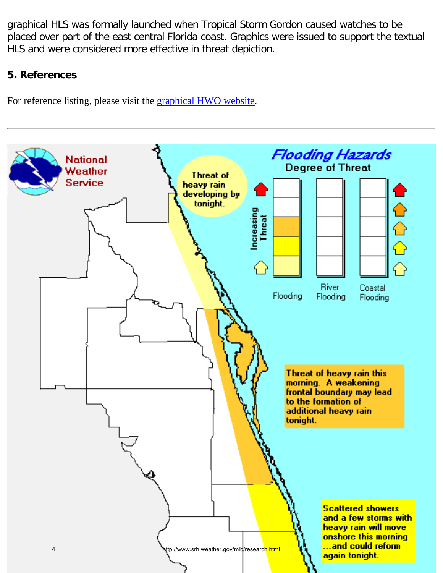graphical HLS was formally launched when Tropical Storm Gordon caused watches to be placed over part of the east central Florida coast. Graphics were issued to support the textual HLS and were considered more effective in threat depiction.

#### **5. References**

For reference listing, please visit the [graphical HWO website.](http://www.srh.weather.gov/mlb/ghwo/ghwomain.shtml)

<span id="page-3-0"></span>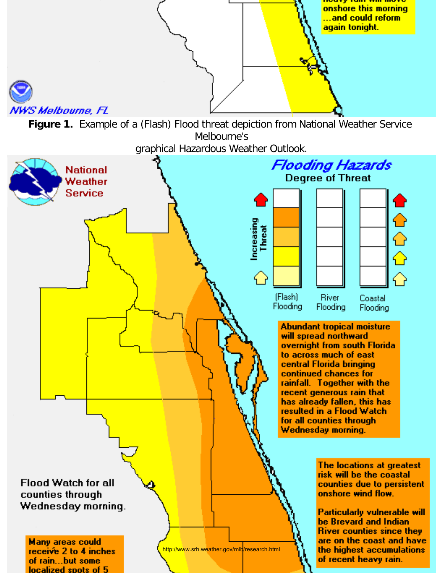<span id="page-4-0"></span>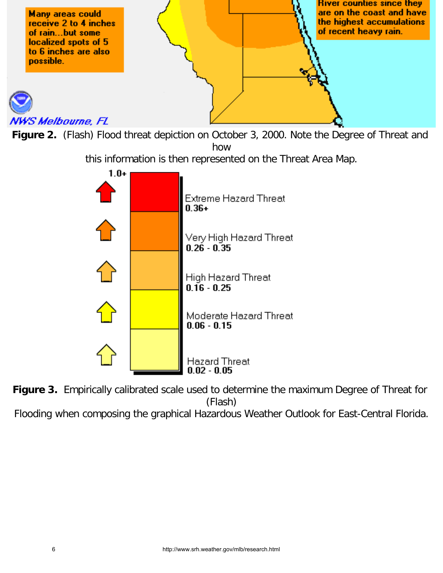

<span id="page-5-0"></span>

this information is then represented on the Threat Area Map.



**Figure 3.** Empirically calibrated scale used to determine the maximum Degree of Threat for (Flash)

<span id="page-5-1"></span>Flooding when composing the graphical Hazardous Weather Outlook for East-Central Florida.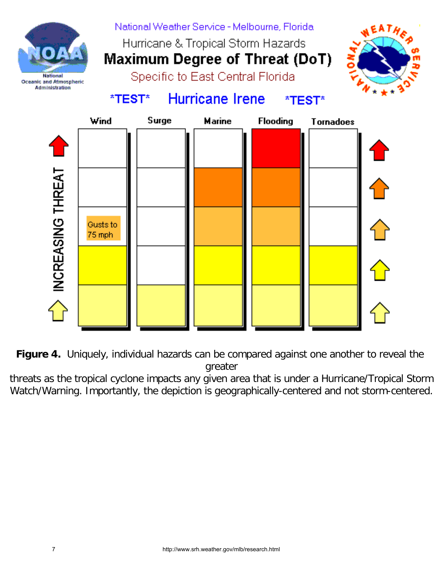

**Figure 4.** Uniquely, individual hazards can be compared against one another to reveal the greater

<span id="page-6-0"></span>threats as the tropical cyclone impacts any given area that is under a Hurricane/Tropical Storm Watch/Warning. Importantly, the depiction is geographically-centered and not storm-centered.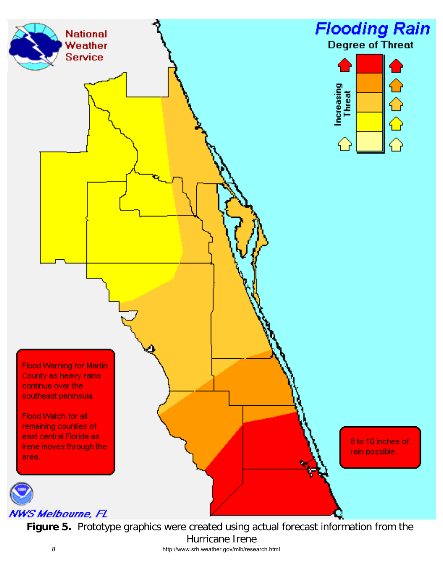

**Figure 5.** Prototype graphics were created using actual forecast information from the Hurricane Irene 8 http://www.srh.weather.gov/mlb/research.html